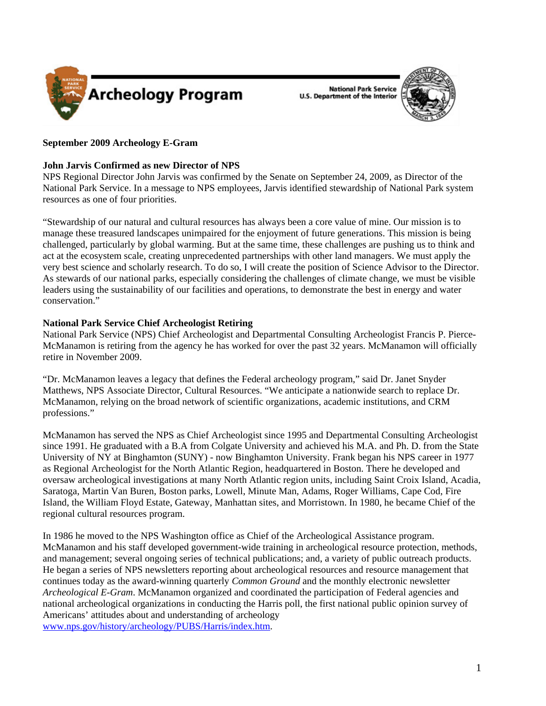

**National Park Service** U.S. Department of the Interior



# **September 2009 Archeology E-Gram**

# **John Jarvis Confirmed as new Director of NPS**

NPS Regional Director John Jarvis was confirmed by the Senate on September 24, 2009, as Director of the National Park Service. In a message to NPS employees, Jarvis identified stewardship of National Park system resources as one of four priorities.

"Stewardship of our natural and cultural resources has always been a core value of mine. Our mission is to manage these treasured landscapes unimpaired for the enjoyment of future generations. This mission is being challenged, particularly by global warming. But at the same time, these challenges are pushing us to think and act at the ecosystem scale, creating unprecedented partnerships with other land managers. We must apply the very best science and scholarly research. To do so, I will create the position of Science Advisor to the Director. As stewards of our national parks, especially considering the challenges of climate change, we must be visible leaders using the sustainability of our facilities and operations, to demonstrate the best in energy and water conservation."

## **National Park Service Chief Archeologist Retiring**

National Park Service (NPS) Chief Archeologist and Departmental Consulting Archeologist Francis P. Pierce-McManamon is retiring from the agency he has worked for over the past 32 years. McManamon will officially retire in November 2009.

"Dr. McManamon leaves a legacy that defines the Federal archeology program," said Dr. Janet Snyder Matthews, NPS Associate Director, Cultural Resources. "We anticipate a nationwide search to replace Dr. McManamon, relying on the broad network of scientific organizations, academic institutions, and CRM professions."

McManamon has served the NPS as Chief Archeologist since 1995 and Departmental Consulting Archeologist since 1991. He graduated with a B.A from Colgate University and achieved his M.A. and Ph. D. from the State University of NY at Binghamton (SUNY) - now Binghamton University. Frank began his NPS career in 1977 as Regional Archeologist for the North Atlantic Region, headquartered in Boston. There he developed and oversaw archeological investigations at many North Atlantic region units, including Saint Croix Island, Acadia, Saratoga, Martin Van Buren, Boston parks, Lowell, Minute Man, Adams, Roger Williams, Cape Cod, Fire Island, the William Floyd Estate, Gateway, Manhattan sites, and Morristown. In 1980, he became Chief of the regional cultural resources program.

In 1986 he moved to the NPS Washington office as Chief of the Archeological Assistance program. McManamon and his staff developed government-wide training in archeological resource protection, methods, and management; several ongoing series of technical publications; and, a variety of public outreach products. He began a series of NPS newsletters reporting about archeological resources and resource management that continues today as the award-winning quarterly *Common Ground* and the monthly electronic newsletter *Archeological E-Gram*. McManamon organized and coordinated the participation of Federal agencies and national archeological organizations in conducting the Harris poll, the first national public opinion survey of Americans' attitudes about and understanding of archeology www.nps.gov/history/archeology/PUBS/Harris/index.htm.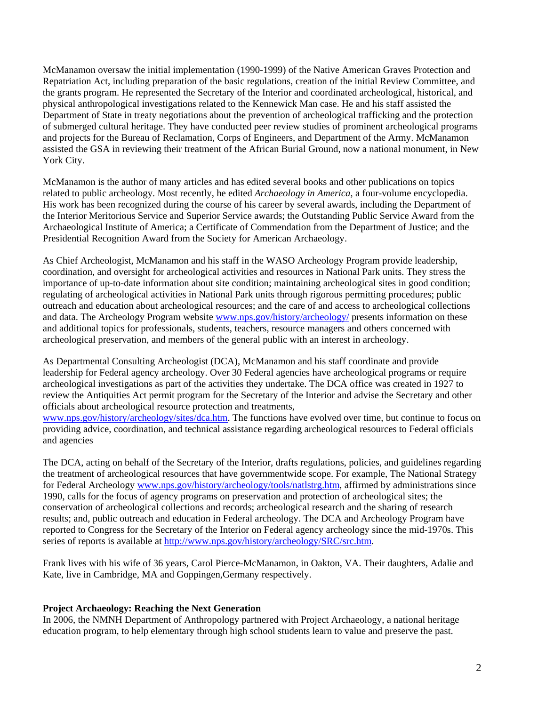McManamon oversaw the initial implementation (1990-1999) of the Native American Graves Protection and Repatriation Act, including preparation of the basic regulations, creation of the initial Review Committee, and the grants program. He represented the Secretary of the Interior and coordinated archeological, historical, and physical anthropological investigations related to the Kennewick Man case. He and his staff assisted the Department of State in treaty negotiations about the prevention of archeological trafficking and the protection of submerged cultural heritage. They have conducted peer review studies of prominent archeological programs and projects for the Bureau of Reclamation, Corps of Engineers, and Department of the Army. McManamon assisted the GSA in reviewing their treatment of the African Burial Ground, now a national monument, in New York City.

McManamon is the author of many articles and has edited several books and other publications on topics related to public archeology. Most recently, he edited *Archaeology in America*, a four-volume encyclopedia. His work has been recognized during the course of his career by several awards, including the Department of the Interior Meritorious Service and Superior Service awards; the Outstanding Public Service Award from the Archaeological Institute of America; a Certificate of Commendation from the Department of Justice; and the Presidential Recognition Award from the Society for American Archaeology.

As Chief Archeologist, McManamon and his staff in the WASO Archeology Program provide leadership, coordination, and oversight for archeological activities and resources in National Park units. They stress the importance of up-to-date information about site condition; maintaining archeological sites in good condition; regulating of archeological activities in National Park units through rigorous permitting procedures; public outreach and education about archeological resources; and the care of and access to archeological collections and data. The Archeology Program website www.nps.gov/history/archeology/ presents information on these and additional topics for professionals, students, teachers, resource managers and others concerned with archeological preservation, and members of the general public with an interest in archeology.

As Departmental Consulting Archeologist (DCA), McManamon and his staff coordinate and provide leadership for Federal agency archeology. Over 30 Federal agencies have archeological programs or require archeological investigations as part of the activities they undertake. The DCA office was created in 1927 to review the Antiquities Act permit program for the Secretary of the Interior and advise the Secretary and other officials about archeological resource protection and treatments,

www.nps.gov/history/archeology/sites/dca.htm. The functions have evolved over time, but continue to focus on providing advice, coordination, and technical assistance regarding archeological resources to Federal officials and agencies

The DCA, acting on behalf of the Secretary of the Interior, drafts regulations, policies, and guidelines regarding the treatment of archeological resources that have governmentwide scope. For example, The National Strategy for Federal Archeology www.nps.gov/history/archeology/tools/natlstrg.htm, affirmed by administrations since 1990, calls for the focus of agency programs on preservation and protection of archeological sites; the conservation of archeological collections and records; archeological research and the sharing of research results; and, public outreach and education in Federal archeology. The DCA and Archeology Program have reported to Congress for the Secretary of the Interior on Federal agency archeology since the mid-1970s. This series of reports is available at http://www.nps.gov/history/archeology/SRC/src.htm.

Frank lives with his wife of 36 years, Carol Pierce-McManamon, in Oakton, VA. Their daughters, Adalie and Kate, live in Cambridge, MA and Goppingen,Germany respectively.

## **Project Archaeology: Reaching the Next Generation**

In 2006, the NMNH Department of Anthropology partnered with Project Archaeology, a national heritage education program, to help elementary through high school students learn to value and preserve the past.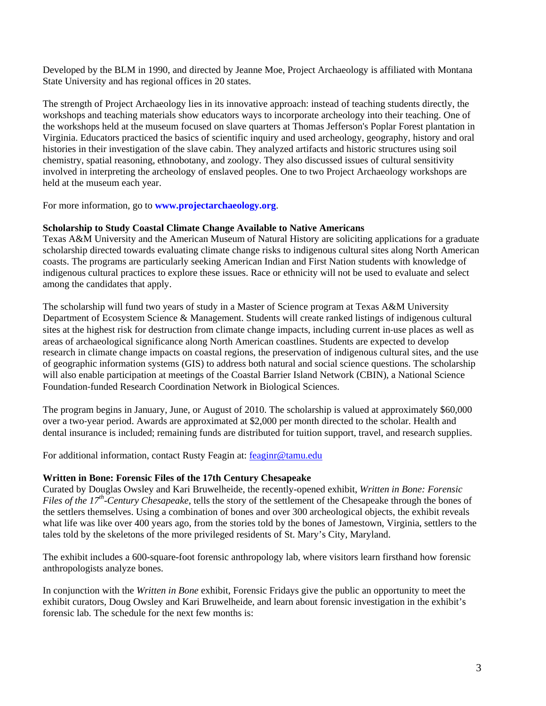Developed by the BLM in 1990, and directed by Jeanne Moe, Project Archaeology is affiliated with Montana State University and has regional offices in 20 states.

The strength of Project Archaeology lies in its innovative approach: instead of teaching students directly, the workshops and teaching materials show educators ways to incorporate archeology into their teaching. One of the workshops held at the museum focused on slave quarters at Thomas Jefferson's Poplar Forest plantation in Virginia. Educators practiced the basics of scientific inquiry and used archeology, geography, history and oral histories in their investigation of the slave cabin. They analyzed artifacts and historic structures using soil chemistry, spatial reasoning, ethnobotany, and zoology. They also discussed issues of cultural sensitivity involved in interpreting the archeology of enslaved peoples. One to two Project Archaeology workshops are held at the museum each year.

For more information, go to **www.projectarchaeology.org**.

#### **Scholarship to Study Coastal Climate Change Available to Native Americans**

Texas A&M University and the American Museum of Natural History are soliciting applications for a graduate scholarship directed towards evaluating climate change risks to indigenous cultural sites along North American coasts. The programs are particularly seeking American Indian and First Nation students with knowledge of indigenous cultural practices to explore these issues. Race or ethnicity will not be used to evaluate and select among the candidates that apply.

The scholarship will fund two years of study in a Master of Science program at Texas A&M University Department of Ecosystem Science & Management. Students will create ranked listings of indigenous cultural sites at the highest risk for destruction from climate change impacts, including current in‐use places as well as areas of archaeological significance along North American coastlines. Students are expected to develop research in climate change impacts on coastal regions, the preservation of indigenous cultural sites, and the use of geographic information systems (GIS) to address both natural and social science questions. The scholarship will also enable participation at meetings of the Coastal Barrier Island Network (CBIN), a National Science Foundation‐funded Research Coordination Network in Biological Sciences.

The program begins in January, June, or August of 2010. The scholarship is valued at approximately \$60,000 over a two‐year period. Awards are approximated at \$2,000 per month directed to the scholar. Health and dental insurance is included; remaining funds are distributed for tuition support, travel, and research supplies.

For additional information, contact Rusty Feagin at: feaginr@tamu.edu

#### **Written in Bone: Forensic Files of the 17th Century Chesapeake**

Curated by Douglas Owsley and Kari Bruwelheide, the recently-opened exhibit, *Written in Bone: Forensic Files of the 17th-Century Chesapeake*, tells the story of the settlement of the Chesapeake through the bones of the settlers themselves. Using a combination of bones and over 300 archeological objects, the exhibit reveals what life was like over 400 years ago, from the stories told by the bones of Jamestown, Virginia, settlers to the tales told by the skeletons of the more privileged residents of St. Mary's City, Maryland.

The exhibit includes a 600-square-foot forensic anthropology lab, where visitors learn firsthand how forensic anthropologists analyze bones.

In conjunction with the *Written in Bone* exhibit, Forensic Fridays give the public an opportunity to meet the exhibit curators, Doug Owsley and Kari Bruwelheide, and learn about forensic investigation in the exhibit's forensic lab. The schedule for the next few months is: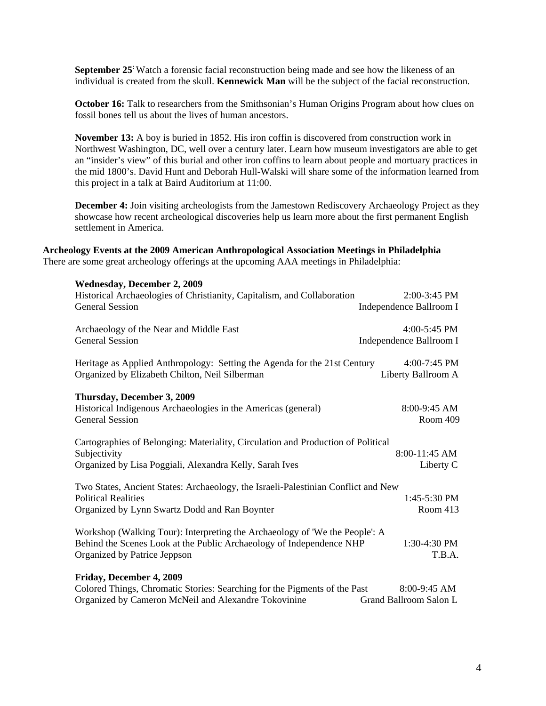**September 25** Watch a forensic facial reconstruction being made and see how the likeness of an individual is created from the skull. **Kennewick Man** will be the subject of the facial reconstruction.

**October 16:** Talk to researchers from the Smithsonian's Human Origins Program about how clues on fossil bones tell us about the lives of human ancestors.

**November 13:** A boy is buried in 1852. His iron coffin is discovered from construction work in Northwest Washington, DC, well over a century later. Learn how museum investigators are able to get an "insider's view" of this burial and other iron coffins to learn about people and mortuary practices in the mid 1800's. David Hunt and Deborah Hull-Walski will share some of the information learned from this project in a talk at Baird Auditorium at 11:00.

**December 4:** Join visiting archeologists from the Jamestown Rediscovery Archaeology Project as they showcase how recent archeological discoveries help us learn more about the first permanent English settlement in America.

**Archeology Events at the 2009 American Anthropological Association Meetings in Philadelphia**  There are some great archeology offerings at the upcoming AAA meetings in Philadelphia:

| <b>Wednesday, December 2, 2009</b>                                                |                         |  |
|-----------------------------------------------------------------------------------|-------------------------|--|
| Historical Archaeologies of Christianity, Capitalism, and Collaboration           | 2:00-3:45 PM            |  |
| <b>General Session</b>                                                            | Independence Ballroom I |  |
| Archaeology of the Near and Middle East                                           | 4:00-5:45 PM            |  |
| <b>General Session</b>                                                            | Independence Ballroom I |  |
| Heritage as Applied Anthropology: Setting the Agenda for the 21st Century         | 4:00-7:45 PM            |  |
| Organized by Elizabeth Chilton, Neil Silberman                                    | Liberty Ballroom A      |  |
| Thursday, December 3, 2009                                                        |                         |  |
| Historical Indigenous Archaeologies in the Americas (general)                     | $8:00-9:45$ AM          |  |
| <b>General Session</b>                                                            | Room 409                |  |
| Cartographies of Belonging: Materiality, Circulation and Production of Political  |                         |  |
| Subjectivity                                                                      | 8:00-11:45 AM           |  |
| Organized by Lisa Poggiali, Alexandra Kelly, Sarah Ives                           | Liberty C               |  |
| Two States, Ancient States: Archaeology, the Israeli-Palestinian Conflict and New |                         |  |
| <b>Political Realities</b>                                                        | 1:45-5:30 PM            |  |
| Organized by Lynn Swartz Dodd and Ran Boynter                                     | Room 413                |  |
| Workshop (Walking Tour): Interpreting the Archaeology of 'We the People': A       |                         |  |
| Behind the Scenes Look at the Public Archaeology of Independence NHP              | 1:30-4:30 PM            |  |
| Organized by Patrice Jeppson                                                      | T.B.A.                  |  |
| Friday, December 4, 2009                                                          |                         |  |
| Colored Things, Chromatic Stories: Searching for the Pigments of the Past         | 8:00-9:45 AM            |  |
| Organized by Cameron McNeil and Alexandre Tokovinine                              | Grand Ballroom Salon L  |  |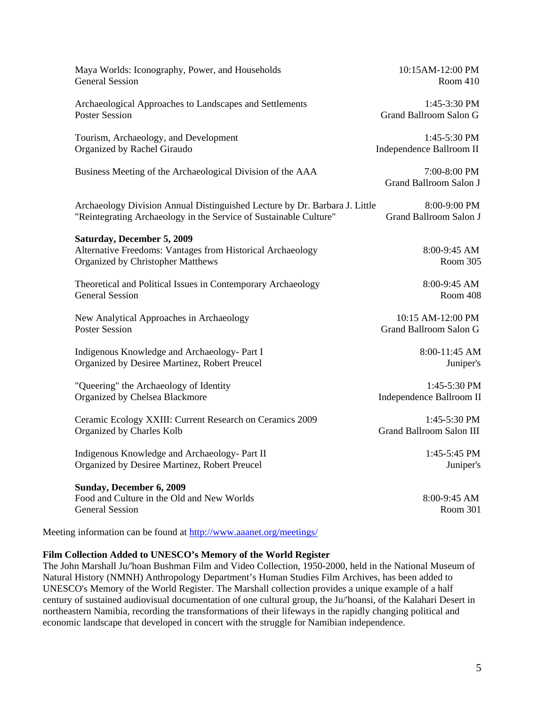| Maya Worlds: Iconography, Power, and Households                                                                                             | 10:15AM-12:00 PM                       |
|---------------------------------------------------------------------------------------------------------------------------------------------|----------------------------------------|
| <b>General Session</b>                                                                                                                      | Room 410                               |
| Archaeological Approaches to Landscapes and Settlements                                                                                     | 1:45-3:30 PM                           |
| <b>Poster Session</b>                                                                                                                       | <b>Grand Ballroom Salon G</b>          |
| Tourism, Archaeology, and Development                                                                                                       | 1:45-5:30 PM                           |
| Organized by Rachel Giraudo                                                                                                                 | Independence Ballroom II               |
| Business Meeting of the Archaeological Division of the AAA                                                                                  | 7:00-8:00 PM<br>Grand Ballroom Salon J |
| Archaeology Division Annual Distinguished Lecture by Dr. Barbara J. Little                                                                  | 8:00-9:00 PM                           |
| "Reintegrating Archaeology in the Service of Sustainable Culture"                                                                           | Grand Ballroom Salon J                 |
| <b>Saturday, December 5, 2009</b><br>Alternative Freedoms: Vantages from Historical Archaeology<br><b>Organized by Christopher Matthews</b> | 8:00-9:45 AM<br>Room 305               |
| Theoretical and Political Issues in Contemporary Archaeology                                                                                | 8:00-9:45 AM                           |
| <b>General Session</b>                                                                                                                      | Room 408                               |
| New Analytical Approaches in Archaeology                                                                                                    | 10:15 AM-12:00 PM                      |
| <b>Poster Session</b>                                                                                                                       | <b>Grand Ballroom Salon G</b>          |
| Indigenous Knowledge and Archaeology- Part I                                                                                                | 8:00-11:45 AM                          |
| Organized by Desiree Martinez, Robert Preucel                                                                                               | Juniper's                              |
| "Queering" the Archaeology of Identity                                                                                                      | 1:45-5:30 PM                           |
| Organized by Chelsea Blackmore                                                                                                              | Independence Ballroom II               |
| Ceramic Ecology XXIII: Current Research on Ceramics 2009                                                                                    | 1:45-5:30 PM                           |
| Organized by Charles Kolb                                                                                                                   | <b>Grand Ballroom Salon III</b>        |
| Indigenous Knowledge and Archaeology- Part II                                                                                               | 1:45-5:45 PM                           |
| Organized by Desiree Martinez, Robert Preucel                                                                                               | Juniper's                              |
| Sunday, December 6, 2009<br>Food and Culture in the Old and New Worlds<br><b>General Session</b>                                            | 8:00-9:45 AM<br>Room 301               |

Meeting information can be found at http://www.aaanet.org/meetings/

#### **Film Collection Added to UNESCO's Memory of the World Register**

The John Marshall Ju/'hoan Bushman Film and Video Collection, 1950-2000, held in the National Museum of Natural History (NMNH) Anthropology Department's Human Studies Film Archives, has been added to UNESCO's Memory of the World Register. The Marshall collection provides a unique example of a half century of sustained audiovisual documentation of one cultural group, the Ju/'hoansi, of the Kalahari Desert in northeastern Namibia, recording the transformations of their lifeways in the rapidly changing political and economic landscape that developed in concert with the struggle for Namibian independence.